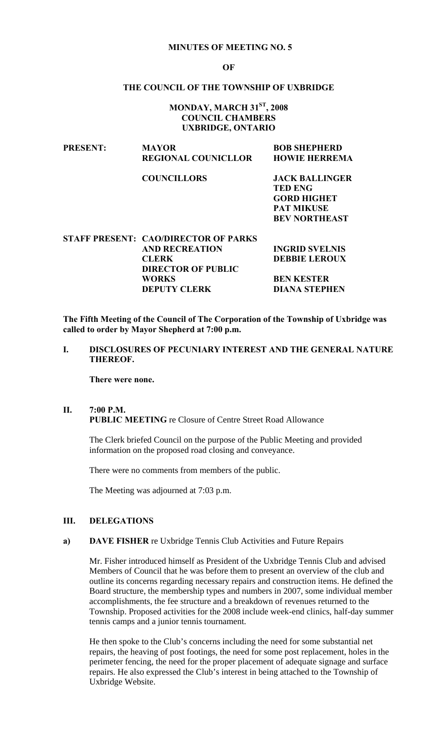#### **MINUTES OF MEETING NO. 5**

#### **OF**

## **THE COUNCIL OF THE TOWNSHIP OF UXBRIDGE**

## **MONDAY, MARCH 31ST, 2008 COUNCIL CHAMBERS UXBRIDGE, ONTARIO**

| <b>PRESENT:</b> | <b>MAYOR</b><br><b>REGIONAL COUNICLLOR</b> | <b>BOB SHEPHERD</b><br><b>HOWIE HERREMA</b>                                                                |
|-----------------|--------------------------------------------|------------------------------------------------------------------------------------------------------------|
|                 | <b>COUNCILLORS</b>                         | <b>JACK BALLINGER</b><br><b>TED ENG</b><br><b>GORD HIGHET</b><br><b>PAT MIKUSE</b><br><b>BEV NORTHEAST</b> |

| STAFF PRESENT: CAO/DIRECTOR OF PARKS |                       |
|--------------------------------------|-----------------------|
| <b>AND RECREATION</b>                | <b>INGRID SVELNIS</b> |
| <b>CLERK</b>                         | <b>DEBBIE LEROUX</b>  |
| <b>DIRECTOR OF PUBLIC</b>            |                       |
| <b>WORKS</b>                         | <b>BEN KESTER</b>     |
| <b>DEPUTY CLERK</b>                  | <b>DIANA STEPHEN</b>  |
|                                      |                       |

**The Fifth Meeting of the Council of The Corporation of the Township of Uxbridge was called to order by Mayor Shepherd at 7:00 p.m.** 

**I. DISCLOSURES OF PECUNIARY INTEREST AND THE GENERAL NATURE THEREOF.** 

 **There were none.** 

#### **II. 7:00 P.M. PUBLIC MEETING** re Closure of Centre Street Road Allowance

The Clerk briefed Council on the purpose of the Public Meeting and provided information on the proposed road closing and conveyance.

There were no comments from members of the public.

The Meeting was adjourned at 7:03 p.m.

#### **III. DELEGATIONS**

#### **a) DAVE FISHER** re Uxbridge Tennis Club Activities and Future Repairs

Mr. Fisher introduced himself as President of the Uxbridge Tennis Club and advised Members of Council that he was before them to present an overview of the club and outline its concerns regarding necessary repairs and construction items. He defined the Board structure, the membership types and numbers in 2007, some individual member accomplishments, the fee structure and a breakdown of revenues returned to the Township. Proposed activities for the 2008 include week-end clinics, half-day summer tennis camps and a junior tennis tournament.

He then spoke to the Club's concerns including the need for some substantial net repairs, the heaving of post footings, the need for some post replacement, holes in the perimeter fencing, the need for the proper placement of adequate signage and surface repairs. He also expressed the Club's interest in being attached to the Township of Uxbridge Website.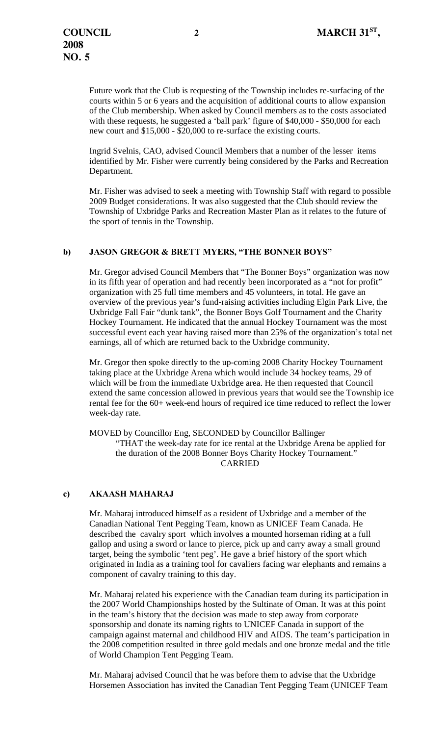Future work that the Club is requesting of the Township includes re-surfacing of the courts within 5 or 6 years and the acquisition of additional courts to allow expansion of the Club membership. When asked by Council members as to the costs associated with these requests, he suggested a 'ball park' figure of \$40,000 - \$50,000 for each new court and \$15,000 - \$20,000 to re-surface the existing courts.

Ingrid Svelnis, CAO, advised Council Members that a number of the lesser items identified by Mr. Fisher were currently being considered by the Parks and Recreation Department.

Mr. Fisher was advised to seek a meeting with Township Staff with regard to possible 2009 Budget considerations. It was also suggested that the Club should review the Township of Uxbridge Parks and Recreation Master Plan as it relates to the future of the sport of tennis in the Township.

## **b) JASON GREGOR & BRETT MYERS, "THE BONNER BOYS"**

Mr. Gregor advised Council Members that "The Bonner Boys" organization was now in its fifth year of operation and had recently been incorporated as a "not for profit" organization with 25 full time members and 45 volunteers, in total. He gave an overview of the previous year's fund-raising activities including Elgin Park Live, the Uxbridge Fall Fair "dunk tank", the Bonner Boys Golf Tournament and the Charity Hockey Tournament. He indicated that the annual Hockey Tournament was the most successful event each year having raised more than 25% of the organization's total net earnings, all of which are returned back to the Uxbridge community.

Mr. Gregor then spoke directly to the up-coming 2008 Charity Hockey Tournament taking place at the Uxbridge Arena which would include 34 hockey teams, 29 of which will be from the immediate Uxbridge area. He then requested that Council extend the same concession allowed in previous years that would see the Township ice rental fee for the 60+ week-end hours of required ice time reduced to reflect the lower week-day rate.

MOVED by Councillor Eng, SECONDED by Councillor Ballinger "THAT the week-day rate for ice rental at the Uxbridge Arena be applied for the duration of the 2008 Bonner Boys Charity Hockey Tournament." CARRIED

## **c) AKAASH MAHARAJ**

Mr. Maharaj introduced himself as a resident of Uxbridge and a member of the Canadian National Tent Pegging Team, known as UNICEF Team Canada. He described the cavalry sport which involves a mounted horseman riding at a full gallop and using a sword or lance to pierce, pick up and carry away a small ground target, being the symbolic 'tent peg'. He gave a brief history of the sport which originated in India as a training tool for cavaliers facing war elephants and remains a component of cavalry training to this day.

Mr. Maharaj related his experience with the Canadian team during its participation in the 2007 World Championships hosted by the Sultinate of Oman. It was at this point in the team's history that the decision was made to step away from corporate sponsorship and donate its naming rights to UNICEF Canada in support of the campaign against maternal and childhood HIV and AIDS. The team's participation in the 2008 competition resulted in three gold medals and one bronze medal and the title of World Champion Tent Pegging Team.

Mr. Maharaj advised Council that he was before them to advise that the Uxbridge Horsemen Association has invited the Canadian Tent Pegging Team (UNICEF Team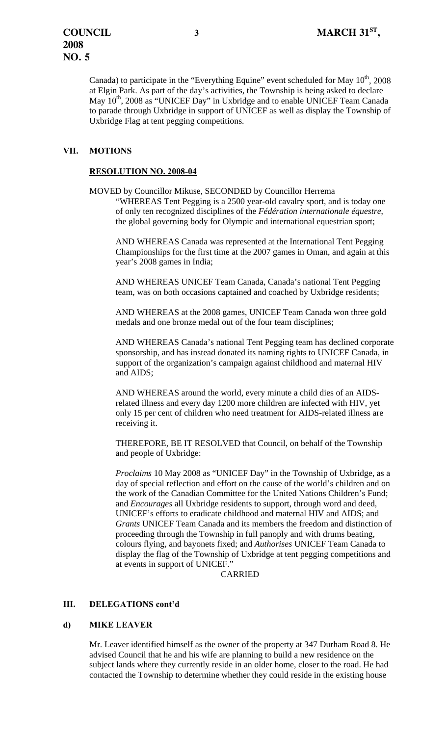Canada) to participate in the "Everything Equine" event scheduled for May  $10<sup>th</sup>$ , 2008 at Elgin Park. As part of the day's activities, the Township is being asked to declare May  $10^{th}$ , 2008 as "UNICEF Day" in Uxbridge and to enable UNICEF Team Canada to parade through Uxbridge in support of UNICEF as well as display the Township of Uxbridge Flag at tent pegging competitions.

# **VII. MOTIONS**

## **RESOLUTION NO. 2008-04**

 MOVED by Councillor Mikuse, SECONDED by Councillor Herrema "WHEREAS Tent Pegging is a 2500 year-old cavalry sport, and is today one of only ten recognized disciplines of the *Fédération internationale équestre*, the global governing body for Olympic and international equestrian sport;

AND WHEREAS Canada was represented at the International Tent Pegging Championships for the first time at the 2007 games in Oman, and again at this year's 2008 games in India;

AND WHEREAS UNICEF Team Canada, Canada's national Tent Pegging team, was on both occasions captained and coached by Uxbridge residents;

AND WHEREAS at the 2008 games, UNICEF Team Canada won three gold medals and one bronze medal out of the four team disciplines;

AND WHEREAS Canada's national Tent Pegging team has declined corporate sponsorship, and has instead donated its naming rights to UNICEF Canada, in support of the organization's campaign against childhood and maternal HIV and AIDS;

AND WHEREAS around the world, every minute a child dies of an AIDSrelated illness and every day 1200 more children are infected with HIV, yet only 15 per cent of children who need treatment for AIDS-related illness are receiving it.

THEREFORE, BE IT RESOLVED that Council, on behalf of the Township and people of Uxbridge:

 *Proclaims* 10 May 2008 as "UNICEF Day" in the Township of Uxbridge, as a day of special reflection and effort on the cause of the world's children and on the work of the Canadian Committee for the United Nations Children's Fund; and *Encourages* all Uxbridge residents to support, through word and deed, UNICEF's efforts to eradicate childhood and maternal HIV and AIDS; and *Grants* UNICEF Team Canada and its members the freedom and distinction of proceeding through the Township in full panoply and with drums beating, colours flying, and bayonets fixed; and *Authorises* UNICEF Team Canada to display the flag of the Township of Uxbridge at tent pegging competitions and at events in support of UNICEF."

CARRIED

## **III. DELEGATIONS cont'd**

#### **d) MIKE LEAVER**

Mr. Leaver identified himself as the owner of the property at 347 Durham Road 8. He advised Council that he and his wife are planning to build a new residence on the subject lands where they currently reside in an older home, closer to the road. He had contacted the Township to determine whether they could reside in the existing house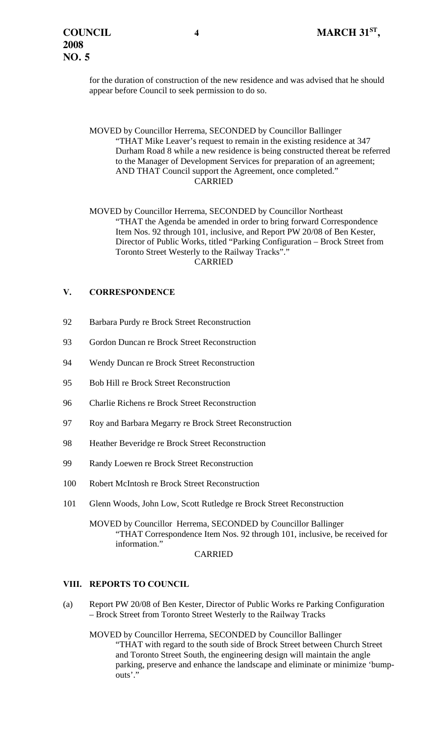for the duration of construction of the new residence and was advised that he should appear before Council to seek permission to do so.

 MOVED by Councillor Herrema, SECONDED by Councillor Ballinger "THAT Mike Leaver's request to remain in the existing residence at 347 Durham Road 8 while a new residence is being constructed thereat be referred to the Manager of Development Services for preparation of an agreement; AND THAT Council support the Agreement, once completed." CARRIED

 MOVED by Councillor Herrema, SECONDED by Councillor Northeast "THAT the Agenda be amended in order to bring forward Correspondence Item Nos. 92 through 101, inclusive, and Report PW 20/08 of Ben Kester, Director of Public Works, titled "Parking Configuration – Brock Street from Toronto Street Westerly to the Railway Tracks"." CARRIED

## **V. CORRESPONDENCE**

- 92 Barbara Purdy re Brock Street Reconstruction
- 93 Gordon Duncan re Brock Street Reconstruction
- 94 Wendy Duncan re Brock Street Reconstruction
- 95 Bob Hill re Brock Street Reconstruction
- 96 Charlie Richens re Brock Street Reconstruction
- 97 Roy and Barbara Megarry re Brock Street Reconstruction
- 98 Heather Beveridge re Brock Street Reconstruction
- 99 Randy Loewen re Brock Street Reconstruction
- 100 Robert McIntosh re Brock Street Reconstruction
- 101 Glenn Woods, John Low, Scott Rutledge re Brock Street Reconstruction

 MOVED by Councillor Herrema, SECONDED by Councillor Ballinger "THAT Correspondence Item Nos. 92 through 101, inclusive, be received for information."

**CARRIED** 

# **VIII. REPORTS TO COUNCIL**

(a) Report PW 20/08 of Ben Kester, Director of Public Works re Parking Configuration – Brock Street from Toronto Street Westerly to the Railway Tracks

 MOVED by Councillor Herrema, SECONDED by Councillor Ballinger "THAT with regard to the south side of Brock Street between Church Street and Toronto Street South, the engineering design will maintain the angle parking, preserve and enhance the landscape and eliminate or minimize 'bumpouts'."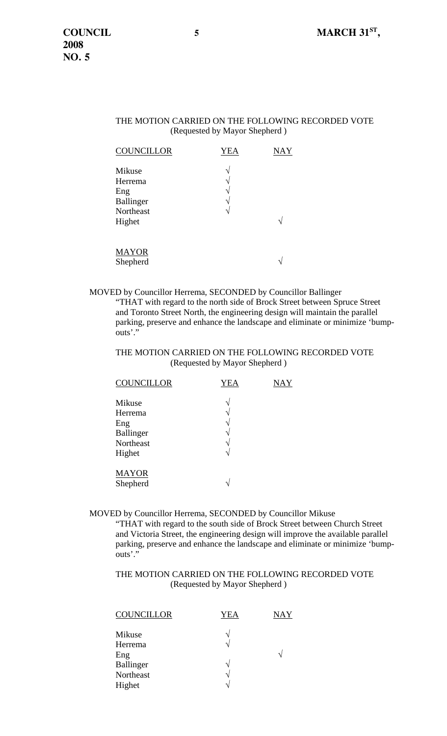## THE MOTION CARRIED ON THE FOLLOWING RECORDED VOTE (Requested by Mayor Shepherd )

| <b>COUNCILLOR</b>                                            | <b>YEA</b>       | <b>NAY</b> |
|--------------------------------------------------------------|------------------|------------|
| Mikuse<br>Herrema<br>Eng<br>Ballinger<br>Northeast<br>Highet | ٦<br>٦<br>٦<br>٦ |            |
| <b>MAYOR</b><br>Shepherd                                     |                  |            |

 MOVED by Councillor Herrema, SECONDED by Councillor Ballinger "THAT with regard to the north side of Brock Street between Spruce Street and Toronto Street North, the engineering design will maintain the parallel parking, preserve and enhance the landscape and eliminate or minimize 'bumpouts'."

# THE MOTION CARRIED ON THE FOLLOWING RECORDED VOTE (Requested by Mayor Shepherd )

| <b>COUNCILLOR</b>        | <b>YEA</b>                     | NAY |
|--------------------------|--------------------------------|-----|
| Mikuse                   | $\gamma$                       |     |
| Herrema<br>Eng           | $\mathcal{N}$<br>$\mathcal{L}$ |     |
| Ballinger<br>Northeast   | $\gamma$<br>$\mathcal{N}$      |     |
| Highet                   | V                              |     |
| <b>MAYOR</b><br>Shepherd | ٦                              |     |

MOVED by Councillor Herrema, SECONDED by Councillor Mikuse

"THAT with regard to the south side of Brock Street between Church Street and Victoria Street, the engineering design will improve the available parallel parking, preserve and enhance the landscape and eliminate or minimize 'bumpouts'."

## THE MOTION CARRIED ON THE FOLLOWING RECORDED VOTE (Requested by Mayor Shepherd )

| <b>COUNCILLOR</b> | YEA      | <b>NAY</b> |
|-------------------|----------|------------|
| Mikuse            | ٦        |            |
| Herrema           | V        |            |
| Eng               |          | ٦          |
| Ballinger         | ٦        |            |
| Northeast         | $\gamma$ |            |
| Highet            |          |            |
|                   |          |            |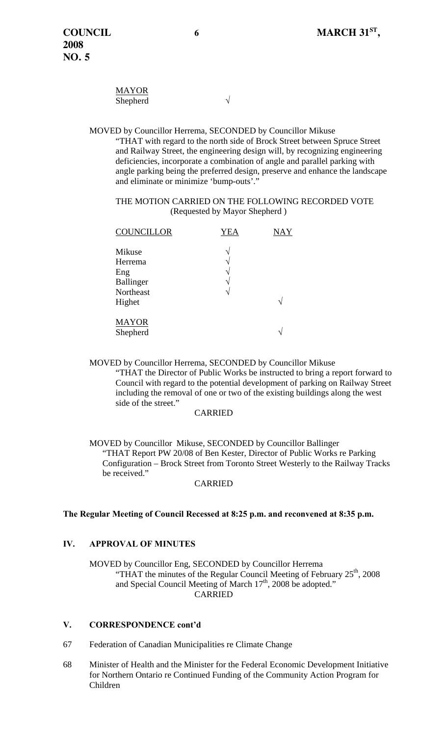| <b>MAYOR</b> |  |
|--------------|--|
| Shepherd     |  |

 MOVED by Councillor Herrema, SECONDED by Councillor Mikuse "THAT with regard to the north side of Brock Street between Spruce Street and Railway Street, the engineering design will, by recognizing engineering deficiencies, incorporate a combination of angle and parallel parking with angle parking being the preferred design, preserve and enhance the landscape and eliminate or minimize 'bump-outs'."

 THE MOTION CARRIED ON THE FOLLOWING RECORDED VOTE (Requested by Mayor Shepherd )

| <b>COUNCILLOR</b>                                            | YEA                                                       | <b>NAY</b> |
|--------------------------------------------------------------|-----------------------------------------------------------|------------|
| Mikuse<br>Herrema<br>Eng<br>Ballinger<br>Northeast<br>Highet | N<br>$\mathcal{N}$<br>$\mathcal{N}$<br>٦<br>$\mathcal{N}$ | ٦          |
| <b>MAYOR</b><br>Shepherd                                     |                                                           | ۰          |

 MOVED by Councillor Herrema, SECONDED by Councillor Mikuse "THAT the Director of Public Works be instructed to bring a report forward to Council with regard to the potential development of parking on Railway Street including the removal of one or two of the existing buildings along the west side of the street."

#### CARRIED

 MOVED by Councillor Mikuse, SECONDED by Councillor Ballinger "THAT Report PW 20/08 of Ben Kester, Director of Public Works re Parking Configuration – Brock Street from Toronto Street Westerly to the Railway Tracks be received."

#### CARRIED

## **The Regular Meeting of Council Recessed at 8:25 p.m. and reconvened at 8:35 p.m.**

# **IV. APPROVAL OF MINUTES**

 MOVED by Councillor Eng, SECONDED by Councillor Herrema "THAT the minutes of the Regular Council Meeting of February  $25<sup>th</sup>$ , 2008 and Special Council Meeting of March 17<sup>th</sup>, 2008 be adopted." CARRIED

## **V. CORRESPONDENCE cont'd**

- 67 Federation of Canadian Municipalities re Climate Change
- 68 Minister of Health and the Minister for the Federal Economic Development Initiative for Northern Ontario re Continued Funding of the Community Action Program for Children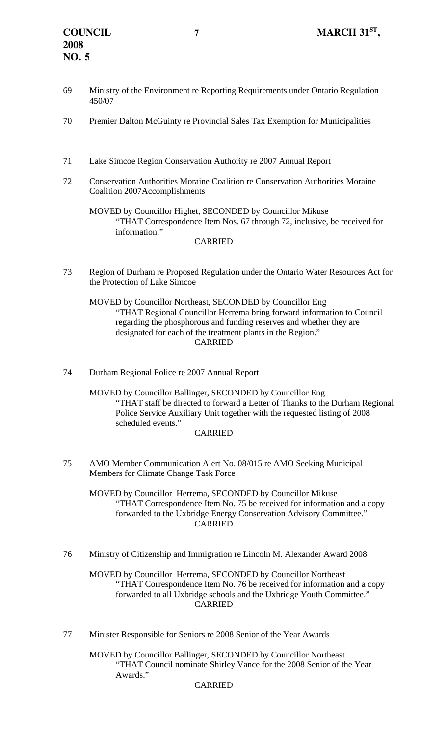- 69 Ministry of the Environment re Reporting Requirements under Ontario Regulation 450/07
- 70 Premier Dalton McGuinty re Provincial Sales Tax Exemption for Municipalities
- 71 Lake Simcoe Region Conservation Authority re 2007 Annual Report
- 72 Conservation Authorities Moraine Coalition re Conservation Authorities Moraine Coalition 2007Accomplishments

 MOVED by Councillor Highet, SECONDED by Councillor Mikuse "THAT Correspondence Item Nos. 67 through 72, inclusive, be received for information."

# CARRIED

73 Region of Durham re Proposed Regulation under the Ontario Water Resources Act for the Protection of Lake Simcoe

 MOVED by Councillor Northeast, SECONDED by Councillor Eng "THAT Regional Councillor Herrema bring forward information to Council regarding the phosphorous and funding reserves and whether they are designated for each of the treatment plants in the Region." CARRIED

74 Durham Regional Police re 2007 Annual Report

 MOVED by Councillor Ballinger, SECONDED by Councillor Eng "THAT staff be directed to forward a Letter of Thanks to the Durham Regional Police Service Auxiliary Unit together with the requested listing of 2008 scheduled events."

# CARRIED

75 AMO Member Communication Alert No. 08/015 re AMO Seeking Municipal Members for Climate Change Task Force

 MOVED by Councillor Herrema, SECONDED by Councillor Mikuse "THAT Correspondence Item No. 75 be received for information and a copy forwarded to the Uxbridge Energy Conservation Advisory Committee." CARRIED

76 Ministry of Citizenship and Immigration re Lincoln M. Alexander Award 2008

 MOVED by Councillor Herrema, SECONDED by Councillor Northeast "THAT Correspondence Item No. 76 be received for information and a copy forwarded to all Uxbridge schools and the Uxbridge Youth Committee." CARRIED

77 Minister Responsible for Seniors re 2008 Senior of the Year Awards

 MOVED by Councillor Ballinger, SECONDED by Councillor Northeast "THAT Council nominate Shirley Vance for the 2008 Senior of the Year Awards."

## CARRIED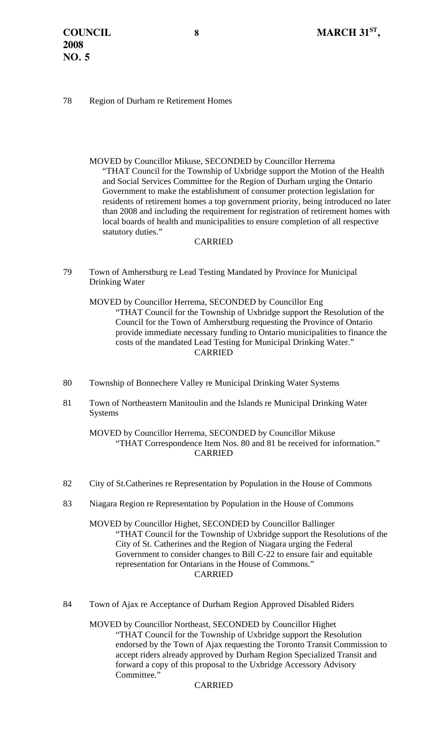#### 78 Region of Durham re Retirement Homes

 MOVED by Councillor Mikuse, SECONDED by Councillor Herrema "THAT Council for the Township of Uxbridge support the Motion of the Health and Social Services Committee for the Region of Durham urging the Ontario Government to make the establishment of consumer protection legislation for residents of retirement homes a top government priority, being introduced no later than 2008 and including the requirement for registration of retirement homes with local boards of health and municipalities to ensure completion of all respective statutory duties."

#### CARRIED

79 Town of Amherstburg re Lead Testing Mandated by Province for Municipal Drinking Water

 MOVED by Councillor Herrema, SECONDED by Councillor Eng "THAT Council for the Township of Uxbridge support the Resolution of the Council for the Town of Amherstburg requesting the Province of Ontario provide immediate necessary funding to Ontario municipalities to finance the costs of the mandated Lead Testing for Municipal Drinking Water." CARRIED

- 80 Township of Bonnechere Valley re Municipal Drinking Water Systems
- 81 Town of Northeastern Manitoulin and the Islands re Municipal Drinking Water Systems

 MOVED by Councillor Herrema, SECONDED by Councillor Mikuse "THAT Correspondence Item Nos. 80 and 81 be received for information." CARRIED

- 82 City of St.Catherines re Representation by Population in the House of Commons
- 83 Niagara Region re Representation by Population in the House of Commons

 MOVED by Councillor Highet, SECONDED by Councillor Ballinger "THAT Council for the Township of Uxbridge support the Resolutions of the City of St. Catherines and the Region of Niagara urging the Federal Government to consider changes to Bill C-22 to ensure fair and equitable representation for Ontarians in the House of Commons." CARRIED

84 Town of Ajax re Acceptance of Durham Region Approved Disabled Riders

 MOVED by Councillor Northeast, SECONDED by Councillor Highet "THAT Council for the Township of Uxbridge support the Resolution endorsed by the Town of Ajax requesting the Toronto Transit Commission to accept riders already approved by Durham Region Specialized Transit and forward a copy of this proposal to the Uxbridge Accessory Advisory Committee."

#### CARRIED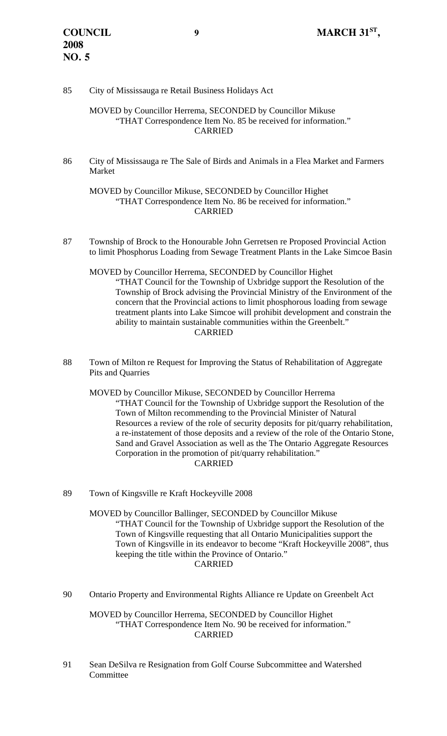## 85 City of Mississauga re Retail Business Holidays Act

#### MOVED by Councillor Herrema, SECONDED by Councillor Mikuse "THAT Correspondence Item No. 85 be received for information." CARRIED

86 City of Mississauga re The Sale of Birds and Animals in a Flea Market and Farmers Market

 MOVED by Councillor Mikuse, SECONDED by Councillor Highet "THAT Correspondence Item No. 86 be received for information." CARRIED

87 Township of Brock to the Honourable John Gerretsen re Proposed Provincial Action to limit Phosphorus Loading from Sewage Treatment Plants in the Lake Simcoe Basin

 MOVED by Councillor Herrema, SECONDED by Councillor Highet "THAT Council for the Township of Uxbridge support the Resolution of the Township of Brock advising the Provincial Ministry of the Environment of the concern that the Provincial actions to limit phosphorous loading from sewage treatment plants into Lake Simcoe will prohibit development and constrain the ability to maintain sustainable communities within the Greenbelt." CARRIED

88 Town of Milton re Request for Improving the Status of Rehabilitation of Aggregate Pits and Quarries

 MOVED by Councillor Mikuse, SECONDED by Councillor Herrema "THAT Council for the Township of Uxbridge support the Resolution of the Town of Milton recommending to the Provincial Minister of Natural Resources a review of the role of security deposits for pit/quarry rehabilitation, a re-instatement of those deposits and a review of the role of the Ontario Stone, Sand and Gravel Association as well as the The Ontario Aggregate Resources Corporation in the promotion of pit/quarry rehabilitation." CARRIED

89 Town of Kingsville re Kraft Hockeyville 2008

 MOVED by Councillor Ballinger, SECONDED by Councillor Mikuse "THAT Council for the Township of Uxbridge support the Resolution of the Town of Kingsville requesting that all Ontario Municipalities support the Town of Kingsville in its endeavor to become "Kraft Hockeyville 2008", thus keeping the title within the Province of Ontario." CARRIED

90 Ontario Property and Environmental Rights Alliance re Update on Greenbelt Act

 MOVED by Councillor Herrema, SECONDED by Councillor Highet "THAT Correspondence Item No. 90 be received for information." CARRIED

91 Sean DeSilva re Resignation from Golf Course Subcommittee and Watershed Committee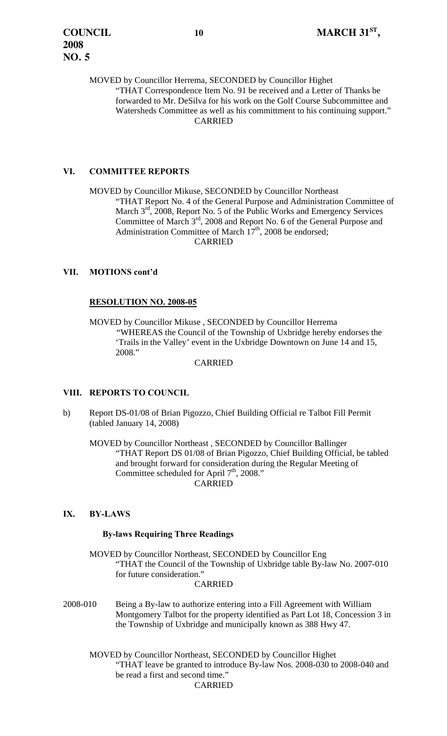MOVED by Councillor Herrema, SECONDED by Councillor Highet "THAT Correspondence Item No. 91 be received and a Letter of Thanks be forwarded to Mr. DeSilva for his work on the Golf Course Subcommittee and Watersheds Committee as well as his committment to his continuing support." CARRIED

# **VI. COMMITTEE REPORTS**

 MOVED by Councillor Mikuse, SECONDED by Councillor Northeast "THAT Report No. 4 of the General Purpose and Administration Committee of March  $3<sup>rd</sup>$ , 2008, Report No. 5 of the Public Works and Emergency Services Committee of March 3<sup>rd</sup>, 2008 and Report No. 6 of the General Purpose and Administration Committee of March  $17<sup>th</sup>$ , 2008 be endorsed; CARRIED

## **VII. MOTIONS cont'd**

## **RESOLUTION NO. 2008-05**

MOVED by Councillor Mikuse , SECONDED by Councillor Herrema *"*WHEREAS the Council of the Township of Uxbridge hereby endorses the 'Trails in the Valley' event in the Uxbridge Downtown on June 14 and 15, 2008."

#### CARRIED

## **VIII. REPORTS TO COUNCIL**

b) Report DS-01/08 of Brian Pigozzo, Chief Building Official re Talbot Fill Permit (tabled January 14, 2008)

 MOVED by Councillor Northeast , SECONDED by Councillor Ballinger "THAT Report DS 01/08 of Brian Pigozzo, Chief Building Official, be tabled and brought forward for consideration during the Regular Meeting of Committee scheduled for April  $7<sup>th</sup>$ , 2008." CARRIED

## **IX. BY-LAWS**

## **By-laws Requiring Three Readings**

MOVED by Councillor Northeast, SECONDED by Councillor Eng "THAT the Council of the Township of Uxbridge table By-law No. 2007-010 for future consideration."

#### CARRIED

2008-010 Being a By-law to authorize entering into a Fill Agreement with William Montgomery Talbot for the property identified as Part Lot 18, Concession 3 in the Township of Uxbridge and municipally known as 388 Hwy 47.

 MOVED by Councillor Northeast, SECONDED by Councillor Highet "THAT leave be granted to introduce By-law Nos. 2008-030 to 2008-040 and be read a first and second time." CARRIED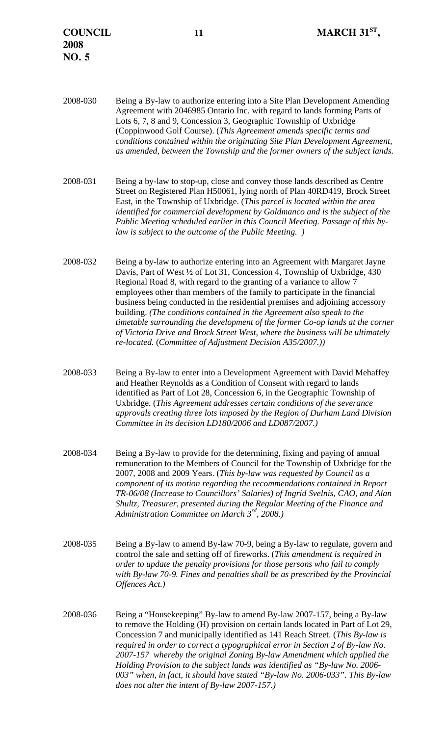**2008 NO. 5** 

2008-030 Being a By-law to authorize entering into a Site Plan Development Amending Agreement with 2046985 Ontario Inc. with regard to lands forming Parts of Lots 6, 7, 8 and 9, Concession 3, Geographic Township of Uxbridge (Coppinwood Golf Course). (*This Agreement amends specific terms and conditions contained within the originating Site Plan Development Agreement, as amended, between the Township and the former owners of the subject lands.* 

2008-031 Being a by-law to stop-up, close and convey those lands described as Centre Street on Registered Plan H50061, lying north of Plan 40RD419, Brock Street East, in the Township of Uxbridge. (*This parcel is located within the area identified for commercial development by Goldmanco and is the subject of the Public Meeting scheduled earlier in this Council Meeting. Passage of this bylaw is subject to the outcome of the Public Meeting. )* 

2008-032 Being a by-law to authorize entering into an Agreement with Margaret Jayne Davis, Part of West ½ of Lot 31, Concession 4, Township of Uxbridge, 430 Regional Road 8, with regard to the granting of a variance to allow 7 employees other than members of the family to participate in the financial business being conducted in the residential premises and adjoining accessory building. *(The conditions contained in the Agreement also speak to the timetable surrounding the development of the former Co-op lands at the corner of Victoria Drive and Brock Street West, where the business will be ultimately re-located.* (*Committee of Adjustment Decision A35/2007.))* 

2008-033 Being a By-law to enter into a Development Agreement with David Mehaffey and Heather Reynolds as a Condition of Consent with regard to lands identified as Part of Lot 28, Concession 6, in the Geographic Township of Uxbridge. (*This Agreement addresses certain conditions of the severance approvals creating three lots imposed by the Region of Durham Land Division Committee in its decision LD180/2006 and LD087/2007.)*

- 2008-034 Being a By-law to provide for the determining, fixing and paying of annual remuneration to the Members of Council for the Township of Uxbridge for the 2007, 2008 and 2009 Years. (*This by-law was requested by Council as a component of its motion regarding the recommendations contained in Report TR-06/08 (Increase to Councillors' Salaries) of Ingrid Svelnis, CAO, and Alan Shultz, Treasurer, presented during the Regular Meeting of the Finance and Administration Committee on March 3rd, 2008.)*
- 2008-035 Being a By-law to amend By-law 70-9, being a By-law to regulate, govern and control the sale and setting off of fireworks. (*This amendment is required in order to update the penalty provisions for those persons who fail to comply with By-law 70-9. Fines and penalties shall be as prescribed by the Provincial Offences Act.)*
- 2008-036 Being a "Housekeeping" By-law to amend By-law 2007-157, being a By-law to remove the Holding (H) provision on certain lands located in Part of Lot 29, Concession 7 and municipally identified as 141 Reach Street. (*This By-law is required in order to correct a typographical error in Section 2 of By-law No. 2007-157 whereby the original Zoning By-law Amendment which applied the Holding Provision to the subject lands was identified as "By-law No. 2006- 003" when, in fact, it should have stated "By-law No. 2006-033". This By-law does not alter the intent of By-law 2007-157.)*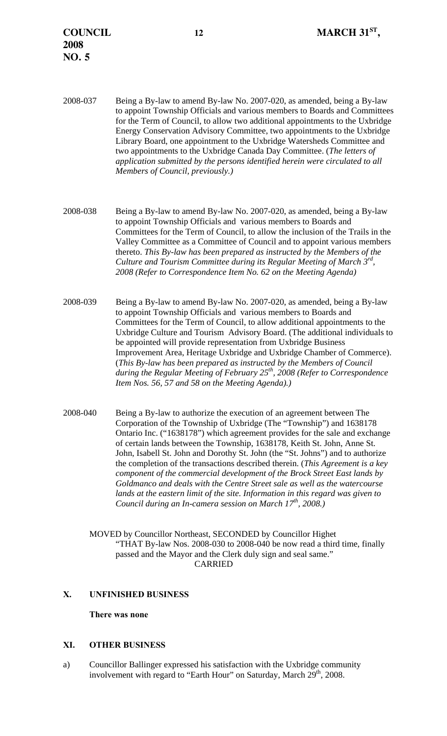- 2008-037 Being a By-law to amend By-law No. 2007-020, as amended, being a By-law to appoint Township Officials and various members to Boards and Committees for the Term of Council, to allow two additional appointments to the Uxbridge Energy Conservation Advisory Committee, two appointments to the Uxbridge Library Board, one appointment to the Uxbridge Watersheds Committee and two appointments to the Uxbridge Canada Day Committee. (*The letters of application submitted by the persons identified herein were circulated to all Members of Council, previously.)*
- 2008-038 Being a By-law to amend By-law No. 2007-020, as amended, being a By-law to appoint Township Officials and various members to Boards and Committees for the Term of Council, to allow the inclusion of the Trails in the Valley Committee as a Committee of Council and to appoint various members thereto. *This By-law has been prepared as instructed by the Members of the Culture and Tourism Committee during its Regular Meeting of March 3rd, 2008 (Refer to Correspondence Item No. 62 on the Meeting Agenda)*
- 2008-039 Being a By-law to amend By-law No. 2007-020, as amended, being a By-law to appoint Township Officials and various members to Boards and Committees for the Term of Council, to allow additional appointments to the Uxbridge Culture and Tourism Advisory Board. (The additional individuals to be appointed will provide representation from Uxbridge Business Improvement Area, Heritage Uxbridge and Uxbridge Chamber of Commerce). (*This By-law has been prepared as instructed by the Members of Council during the Regular Meeting of February 25th, 2008 (Refer to Correspondence Item Nos. 56, 57 and 58 on the Meeting Agenda).)*
- 2008-040 Being a By-law to authorize the execution of an agreement between The Corporation of the Township of Uxbridge (The "Township") and 1638178 Ontario Inc. ("1638178") which agreement provides for the sale and exchange of certain lands between the Township, 1638178, Keith St. John, Anne St. John, Isabell St. John and Dorothy St. John (the "St. Johns") and to authorize the completion of the transactions described therein. (*This Agreement is a key component of the commercial development of the Brock Street East lands by Goldmanco and deals with the Centre Street sale as well as the watercourse*  lands at the eastern limit of the site. Information in this regard was given to *Council during an In-camera session on March 17th, 2008.)* 
	- MOVED by Councillor Northeast, SECONDED by Councillor Highet "THAT By-law Nos. 2008-030 to 2008-040 be now read a third time, finally passed and the Mayor and the Clerk duly sign and seal same." CARRIED

# **X. UNFINISHED BUSINESS**

## **There was none**

## **XI. OTHER BUSINESS**

a) Councillor Ballinger expressed his satisfaction with the Uxbridge community involvement with regard to "Earth Hour" on Saturday, March  $29<sup>th</sup>$ , 2008.